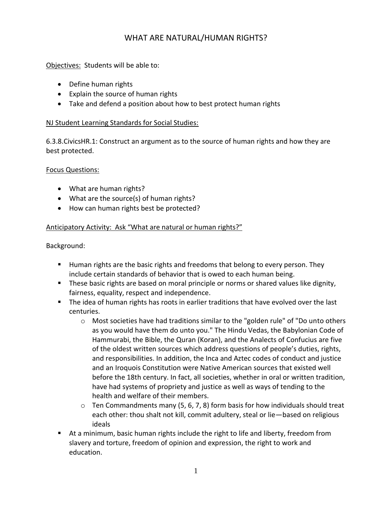# WHAT ARE NATURAL/HUMAN RIGHTS?

Objectives: Students will be able to:

- Define human rights
- Explain the source of human rights
- Take and defend a position about how to best protect human rights

### NJ Student Learning Standards for Social Studies:

6.3.8.CivicsHR.1: Construct an argument as to the source of human rights and how they are best protected.

### Focus Questions:

- What are human rights?
- What are the source(s) of human rights?
- How can human rights best be protected?

## Anticipatory Activity: Ask "What are natural or human rights?"

Background:

- Human rights are the basic rights and freedoms that belong to every person. They include certain standards of behavior that is owed to each human being.
- **These basic rights are based on moral principle or norms or shared values like dignity,** fairness, equality, respect and independence.
- **The idea of human rights has roots in earlier traditions that have evolved over the last** centuries.
	- $\circ$  Most societies have had traditions similar to the "golden rule" of "Do unto others as you would have them do unto you." The Hindu Vedas, the Babylonian Code of Hammurabi, the Bible, the Quran (Koran), and the Analects of Confucius are five of the oldest written sources which address questions of people's duties, rights, and responsibilities. In addition, the Inca and Aztec codes of conduct and justice and an Iroquois Constitution were Native American sources that existed well before the 18th century. In fact, all societies, whether in oral or written tradition, have had systems of propriety and justice as well as ways of tending to the health and welfare of their members.
	- $\circ$  Ten Commandments many (5, 6, 7, 8) form basis for how individuals should treat each other: thou shalt not kill, commit adultery, steal or lie—based on religious ideals
- At a minimum, basic human rights include the right to life and liberty, freedom from slavery and torture, freedom of opinion and expression, the right to work and education.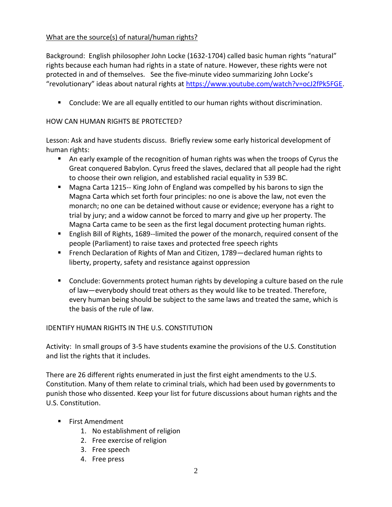## What are the source(s) of natural/human rights?

Background: English philosopher John Locke (1632-1704) called basic human rights "natural" rights because each human had rights in a state of nature. However, these rights were not protected in and of themselves. See the five-minute video summarizing John Locke's "revolutionary" ideas about natural rights at [https://www.youtube.com/watch?v=ocJ2fPk5FGE.](https://www.youtube.com/watch?v=ocJ2fPk5FGE)

Conclude: We are all equally entitled to our human rights without discrimination.

## HOW CAN HUMAN RIGHTS BE PROTECTED?

Lesson: Ask and have students discuss. Briefly review some early historical development of human rights:

- An early example of the recognition of human rights was when the troops of Cyrus the Great conquered Babylon. Cyrus freed the slaves, declared that all people had the right to choose their own religion, and established racial equality in 539 BC.
- Magna Carta 1215-- King John of England was compelled by his barons to sign the Magna Carta which set forth four principles: no one is above the law, not even the monarch; no one can be detained without cause or evidence; everyone has a right to trial by jury; and a widow cannot be forced to marry and give up her property. The Magna Carta came to be seen as the first legal document protecting human rights.
- English Bill of Rights, 1689--limited the power of the monarch, required consent of the people (Parliament) to raise taxes and protected free speech rights
- French Declaration of Rights of Man and Citizen, 1789—declared human rights to liberty, property, safety and resistance against oppression
- Conclude: Governments protect human rights by developing a culture based on the rule of law—everybody should treat others as they would like to be treated. Therefore, every human being should be subject to the same laws and treated the same, which is the basis of the rule of law.

### IDENTIFY HUMAN RIGHTS IN THE U.S. CONSTITUTION

Activity: In small groups of 3-5 have students examine the provisions of the U.S. Constitution and list the rights that it includes.

There are 26 different rights enumerated in just the first eight amendments to the U.S. Constitution. Many of them relate to criminal trials, which had been used by governments to punish those who dissented. Keep your list for future discussions about human rights and the U.S. Constitution.

- **First Amendment** 
	- 1. No establishment of religion
	- 2. Free exercise of religion
	- 3. Free speech
	- 4. Free press